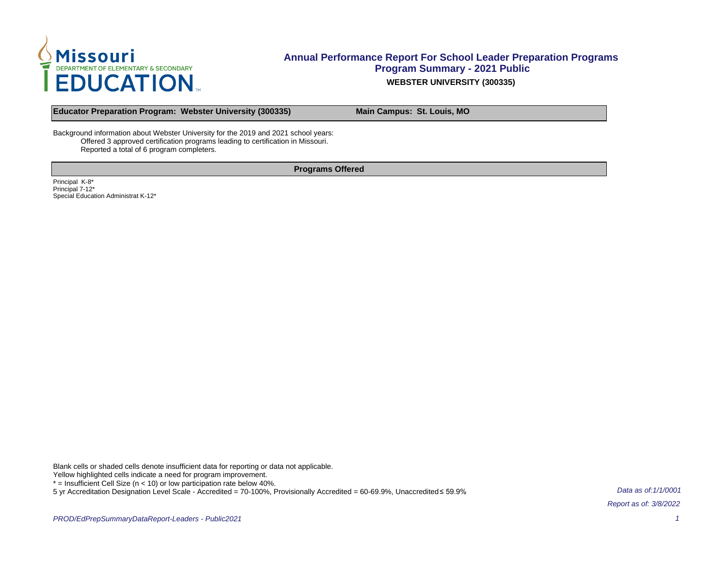

**Educator Preparation Program: Webster University (300335) Main Campus: St. Louis, MO**

Background information about Webster University for the 2019 and 2021 school years: Offered 3 approved certification programs leading to certification in Missouri. Reported a total of 6 program completers.

**Programs Offered**

Principal K-8\* Principal 7-12\* Special Education Administrat K-12\*

Blank cells or shaded cells denote insufficient data for reporting or data not applicable.

Yellow highlighted cells indicate a need for program improvement.

 $*$  = Insufficient Cell Size ( $n$  < 10) or low participation rate below 40%.

5 yr Accreditation Designation Level Scale - Accredited = 70-100%, Provisionally Accredited = 60-69.9%, Unaccredited ≤ 59.9%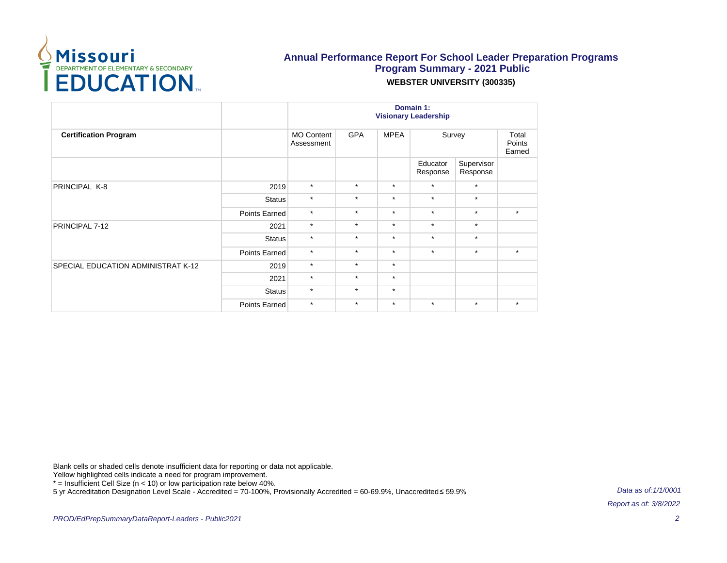

|                                           |               | Domain 1:<br><b>Visionary Leadership</b> |            |             |                      |                        |                           |  |  |
|-------------------------------------------|---------------|------------------------------------------|------------|-------------|----------------------|------------------------|---------------------------|--|--|
| <b>Certification Program</b>              |               | <b>MO Content</b><br>Assessment          | <b>GPA</b> | <b>MPEA</b> | Survey               |                        | Total<br>Points<br>Earned |  |  |
|                                           |               |                                          |            |             | Educator<br>Response | Supervisor<br>Response |                           |  |  |
| PRINCIPAL K-8                             | 2019          | $\star$                                  | $\star$    | $\star$     | $\star$              | $\star$                |                           |  |  |
|                                           | <b>Status</b> | $\star$                                  | $\star$    | $\star$     | $\star$              | $\star$                |                           |  |  |
|                                           | Points Earned | $\star$                                  | $\star$    | $\star$     | $\star$              | $\star$                | $\star$                   |  |  |
| PRINCIPAL 7-12                            | 2021          | $\star$                                  | $\star$    | $\star$     | $\star$              | $\star$                |                           |  |  |
|                                           | Status        | $\star$                                  | $\star$    | $\star$     | $\star$              | $\star$                |                           |  |  |
|                                           | Points Earned | $\star$                                  | $\star$    | $\star$     | $\star$              | $\star$                | $\star$                   |  |  |
| <b>SPECIAL EDUCATION ADMINISTRAT K-12</b> | 2019          | $\star$                                  | $\star$    | $\star$     |                      |                        |                           |  |  |
|                                           | 2021          | $\star$                                  | $\star$    | $\star$     |                      |                        |                           |  |  |
|                                           | <b>Status</b> | $\star$                                  | $\star$    | $\star$     |                      |                        |                           |  |  |
|                                           | Points Earned | $\star$                                  | $\star$    | $\star$     | $\star$              | $\star$                | $\star$                   |  |  |

Blank cells or shaded cells denote insufficient data for reporting or data not applicable.

Yellow highlighted cells indicate a need for program improvement.

\* = Insufficient Cell Size (n < 10) or low participation rate below 40%.

5 yr Accreditation Designation Level Scale - Accredited = 70-100%, Provisionally Accredited = 60-69.9%, Unaccredited ≤ 59.9%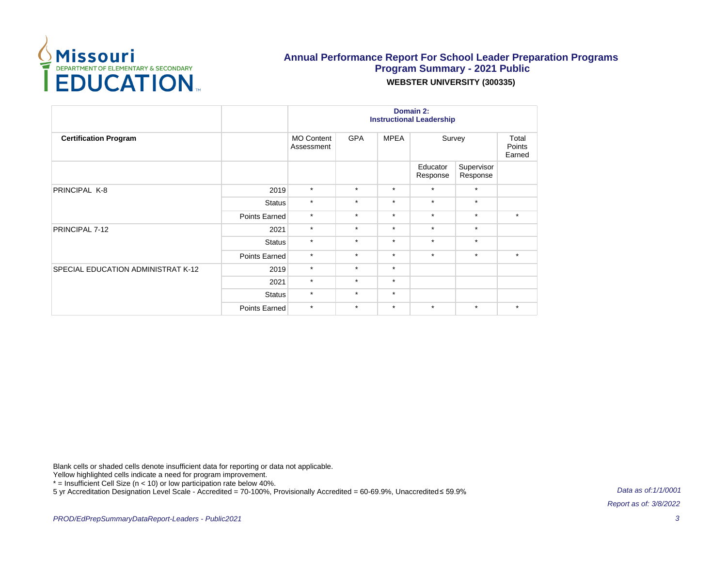

|                                    |               | Domain 2:<br><b>Instructional Leadership</b> |            |             |                      |                        |                           |  |  |
|------------------------------------|---------------|----------------------------------------------|------------|-------------|----------------------|------------------------|---------------------------|--|--|
| <b>Certification Program</b>       |               | <b>MO Content</b><br>Assessment              | <b>GPA</b> | <b>MPEA</b> | Survey               |                        | Total<br>Points<br>Earned |  |  |
|                                    |               |                                              |            |             | Educator<br>Response | Supervisor<br>Response |                           |  |  |
| PRINCIPAL K-8                      | 2019          | $\star$                                      | $\star$    | $\star$     | $\star$              | $\star$                |                           |  |  |
|                                    | <b>Status</b> | $\star$                                      | $\star$    | $\star$     | $\star$              | $\star$                |                           |  |  |
|                                    | Points Earned | $\star$                                      | $\star$    | $\star$     | $\star$              | $\star$                | $\star$                   |  |  |
| PRINCIPAL 7-12                     | 2021          | $\star$                                      | $\star$    | $\star$     | $\star$              | $\star$                |                           |  |  |
|                                    | <b>Status</b> | $\star$                                      | $\star$    | $\star$     | $\star$              | $\star$                |                           |  |  |
|                                    | Points Earned | $\star$                                      | $\star$    | $\star$     | $\star$              | $\star$                | $\star$                   |  |  |
| SPECIAL EDUCATION ADMINISTRAT K-12 | 2019          | $\star$                                      | $\star$    | $\star$     |                      |                        |                           |  |  |
|                                    | 2021          | $\star$                                      | $\star$    | $\star$     |                      |                        |                           |  |  |
|                                    | <b>Status</b> | $\star$                                      | $\star$    | $\star$     |                      |                        |                           |  |  |
|                                    | Points Earned | $\star$                                      | $\star$    | $\star$     | $\star$              | $\star$                | $\star$                   |  |  |

Blank cells or shaded cells denote insufficient data for reporting or data not applicable.

Yellow highlighted cells indicate a need for program improvement.

\* = Insufficient Cell Size (n < 10) or low participation rate below 40%.

5 yr Accreditation Designation Level Scale - Accredited = 70-100%, Provisionally Accredited = 60-69.9%, Unaccredited ≤ 59.9%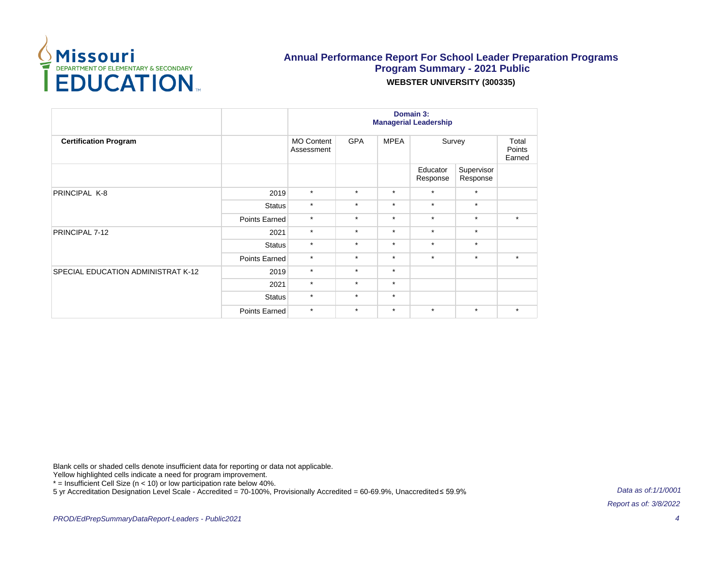

|                                    |               | Domain 3:<br><b>Managerial Leadership</b> |            |             |                      |                        |                           |  |
|------------------------------------|---------------|-------------------------------------------|------------|-------------|----------------------|------------------------|---------------------------|--|
| <b>Certification Program</b>       |               | <b>MO Content</b><br>Assessment           | <b>GPA</b> | <b>MPEA</b> | Survey               |                        | Total<br>Points<br>Earned |  |
|                                    |               |                                           |            |             | Educator<br>Response | Supervisor<br>Response |                           |  |
| PRINCIPAL K-8                      | 2019          | $\star$                                   | $\star$    | $\star$     | $\star$              | $\star$                |                           |  |
|                                    | <b>Status</b> | $\star$                                   | $\star$    | $\star$     | $\star$              | $\star$                |                           |  |
|                                    | Points Earned | $\star$                                   | $\star$    | $\star$     | $\star$              | $\star$                | $\star$                   |  |
| PRINCIPAL 7-12                     | 2021          | $\star$                                   | $\star$    | $\star$     | $\star$              | $\star$                |                           |  |
|                                    | <b>Status</b> | $\star$                                   | $\star$    | $\star$     | $\star$              | $\star$                |                           |  |
|                                    | Points Earned | $\star$                                   | $\star$    | $\star$     | $\star$              | $\star$                | $\star$                   |  |
| SPECIAL EDUCATION ADMINISTRAT K-12 | 2019          | $\star$                                   | $\star$    | $\star$     |                      |                        |                           |  |
|                                    | 2021          | $\star$                                   | $\star$    | $\star$     |                      |                        |                           |  |
|                                    | <b>Status</b> | $\star$                                   | $\star$    | $\star$     |                      |                        |                           |  |
|                                    | Points Earned | $\star$                                   | $\star$    | $\star$     | $\star$              | $\star$                | $\star$                   |  |

Blank cells or shaded cells denote insufficient data for reporting or data not applicable.

Yellow highlighted cells indicate a need for program improvement.

\* = Insufficient Cell Size (n < 10) or low participation rate below 40%.

5 yr Accreditation Designation Level Scale - Accredited = 70-100%, Provisionally Accredited = 60-69.9%, Unaccredited ≤ 59.9%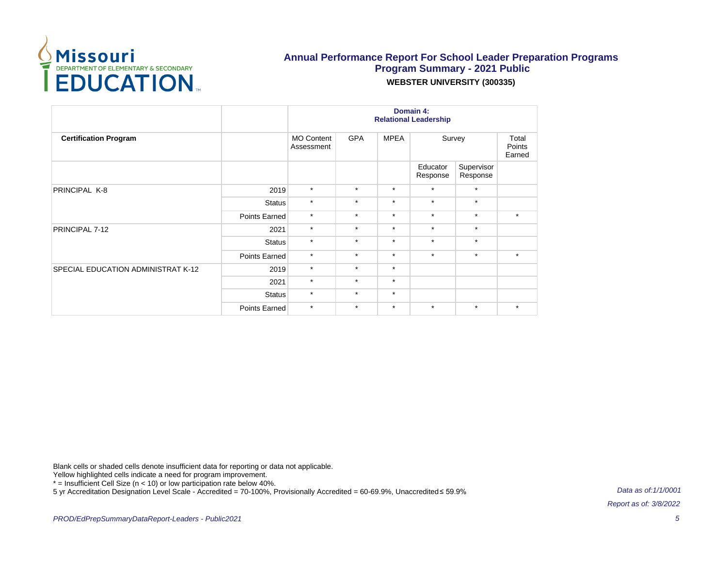

|                                    |               | Domain 4:<br><b>Relational Leadership</b> |            |             |                      |                        |                           |  |  |
|------------------------------------|---------------|-------------------------------------------|------------|-------------|----------------------|------------------------|---------------------------|--|--|
| <b>Certification Program</b>       |               | <b>MO Content</b><br>Assessment           | <b>GPA</b> | <b>MPEA</b> | Survey               |                        | Total<br>Points<br>Earned |  |  |
|                                    |               |                                           |            |             | Educator<br>Response | Supervisor<br>Response |                           |  |  |
| PRINCIPAL K-8                      | 2019          | $\star$                                   | $\star$    | $\star$     | $\star$              | $\star$                |                           |  |  |
|                                    | <b>Status</b> | $\star$                                   | $\star$    | $\star$     | $\star$              | $\star$                |                           |  |  |
|                                    | Points Earned | $\star$                                   | $\star$    | $\star$     | $\star$              | $\star$                | $\star$                   |  |  |
| PRINCIPAL 7-12                     | 2021          | $\star$                                   | $\star$    | $\star$     | $\star$              | $\star$                |                           |  |  |
|                                    | <b>Status</b> | $\star$                                   | $\star$    | $\star$     | $\star$              | $\star$                |                           |  |  |
|                                    | Points Earned | $\star$                                   | $\star$    | $\star$     | $\star$              | $\star$                | $\star$                   |  |  |
| SPECIAL EDUCATION ADMINISTRAT K-12 | 2019          | $\star$                                   | $\star$    | $\star$     |                      |                        |                           |  |  |
|                                    | 2021          | $\star$                                   | $\star$    | $\star$     |                      |                        |                           |  |  |
|                                    | <b>Status</b> | $\star$                                   | $\star$    | $\star$     |                      |                        |                           |  |  |
|                                    | Points Earned | $\star$                                   | $\star$    | $\star$     | $\star$              | $\star$                | $\star$                   |  |  |

Blank cells or shaded cells denote insufficient data for reporting or data not applicable.

Yellow highlighted cells indicate a need for program improvement.

\* = Insufficient Cell Size (n < 10) or low participation rate below 40%.

5 yr Accreditation Designation Level Scale - Accredited = 70-100%, Provisionally Accredited = 60-69.9%, Unaccredited ≤ 59.9%